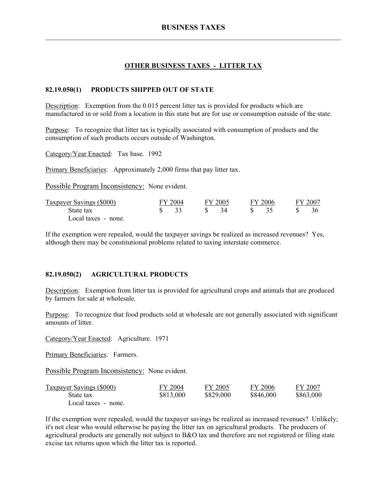# **OTHER BUSINESS TAXES - LITTER TAX**

### **82.19.050(1) PRODUCTS SHIPPED OUT OF STATE**

Description: Exemption from the 0.015 percent litter tax is provided for products which are manufactured in or sold from a location in this state but are for use or consumption outside of the state.

Purpose: To recognize that litter tax is typically associated with consumption of products and the consumption of such products occurs outside of Washington.

Category/Year Enacted: Tax base. 1992

Primary Beneficiaries: Approximately 2,000 firms that pay litter tax.

Possible Program Inconsistency: None evident.

| Taxpayer Savings (\$000) | FY 2004 | FY 2005 | FY 2006 | FY 2007 |
|--------------------------|---------|---------|---------|---------|
| State tax                |         | -34     |         |         |
| Local taxes - none.      |         |         |         |         |

If the exemption were repealed, would the taxpayer savings be realized as increased revenues? Yes, although there may be constitutional problems related to taxing interstate commerce.

#### **82.19.050(2) AGRICULTURAL PRODUCTS**

Description: Exemption from litter tax is provided for agricultural crops and animals that are produced by farmers for sale at wholesale.

Purpose: To recognize that food products sold at wholesale are not generally associated with significant amounts of litter.

Category/Year Enacted: Agriculture. 1971

Primary Beneficiaries: Farmers.

Possible Program Inconsistency: None evident.

| <b>Taxpayer Savings (\$000)</b> | FY 2004   | FY 2005   | FY 2006   | FY 2007   |
|---------------------------------|-----------|-----------|-----------|-----------|
| State tax                       | \$813,000 | \$829,000 | \$846,000 | \$863,000 |
| Local taxes - none.             |           |           |           |           |

If the exemption were repealed, would the taxpayer savings be realized as increased revenues? Unlikely; it's not clear who would otherwise be paying the litter tax on agricultural products. The producers of agricultural products are generally not subject to B&O tax and therefore are not registered or filing state excise tax returns upon which the litter tax is reported.